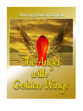# Shivangi Buzarbaruah

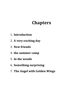# **Chapters**

- 1. **Introduction**
- 2. **A very exciting day**
- 3. **New friends**
- 4. **the summer camp**
- 5. **In the woods**
- 6. **Something surprising**
- 7. **The Angel with Golden Wings**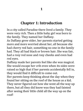## **Chapter 1: Introduction**

In a city called Paradise there lived a family. They were very rich. Then a little baby girl was born to the family. They named her Daffany.

As Daffany grew older, her parents started getting more and more worried about her, all because she had cherry red hair, something no one in the family had. They all had black or brown hair. She was fair, had a rosy red nose and rosy cheeks and even had red eyes.

Daffany made her parents feel like she was magical. She would escape her crib even when its sides were raised so high that if her parents accidentally fell in, they would find it difficult to come out.

Her parents keep thinking about the day when they found her sitting on the roof of the house as a kid. They never figured out how she went all the way up there, but all they did know was they had fainted after seeing their little child all the way up on the roof!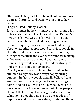"But now Daffany is 13, so she will not do anything dumb and stupid," said Daffany's mother to her father.

"I agree," said Daffany's father.

It was summer in the city and it brought along a lot of festivals that people celebrated there. Daffany's favourite festival was the festival of joy. In that festival, everybody would dance, sing and even dress up any way they wanted to without caring about what other people would say. Most people in the city would wear rainbow-coloured clothing during that festival and even wear rainbow makeup. A few would dress up as monkeys and some as monks. They would even greet random strangers and say kasaya in their language.

The city was always bright and beautiful during summer. Everybody was always happy during summer. In fact, the people actually believed that summer was when an angel with golden wings comes and blesses everyone. They believed it but were never sure if it was true or not. Some people thought that the angel was disguised as a citizen, while some thought that she was the goddess of happiness and that she was always watching them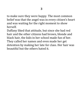to make sure they were happy. The most common belief was that the angel was in every citizen's heart and was waiting for the right moment to show herself.

Daffany liked that attitude, but since she had red hair and the other citizens had brown, blonde and black hair, the kids in her school made fun of her. They called her names and even made her get detention by making her late for class. Her hair was beautiful but the others hated it.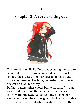## **Chapter 2: A very exciting day**



The next day, while Daffany was crossing the road to school, she met the boy who hated her the most in school. She greeted him with fear in her eyes, and instead of greeting her back, he pushed her in front of a car and walked away.

Daffany had no other choice but to scream. As soon as she did that, something happened and it scared the boy. He ran away. When Daffany opened her eyes, she was on the school grounds. She had no idea how she got there, but what she did know was that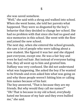she was saved somehow.

"Well," she said with a shrug and walked into school. When she went home, she told her parents what happened. They were so disgusted by the boy's behavior that they decided to change her school. She had no problem with that since she had no good and nice memories in this school. She went with the flow and joined the new school.

The next day, when she entered the school grounds, she saw a lot of people who were talking about a new student. She figured it was her and she slipped past everyone, except one. He was a fair boy and even he had red hair. But instead of everyone hating him, they all went up to him and greeted him. Daffany was very confused. She did not understand what was happening. She asked the boy if he wanted to be friends and even asked him what was going on and why those people weren't hitting him or calling

him names because of his hair. The boy answered, "That is because they are my friends. But why would they call me names?" "Oh! That is because in my old school, everybody hated me because of my hair and they even bullied me," she said.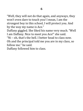"Well, they will not do that again, and anyways, they won't even dare to touch you! I mean, I am the strongest boy in this school, I will protect you. And by the way my name is Ace." Daffany giggled. She liked his name very much. "Well I am Daffany. Nice to meet you Ace!" she said. "Ni – oh, that's the bell. I better head to class now. Oh and the principal told me you are in my class, so follow me." he said. Daffany followed him to class.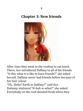**7**

## **Chapter 3: New friends**



After class they went to the rooftop to eat lunch. There, Ace introduced Daffany to all of his friends. "Is this what it is like to have friends?" she asked herself. Daffany never had friends before because of her hair colour.

"Uh.. Hello? Earth to Daffany?" said Ace. Dafanny stuttered "H-huh w-what?" she asked. Everybody on the roof shouted freak when they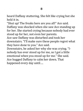heard Daffany stuttering. She felt like crying but she held it in.

"Shut up! The freaks here are you all!" Ace said. Daffany was shocked when she saw Ace standing up for her. She started crying because nobody had ever stood up for her, not even her parents. Ace saw Daffany was disturbed and took her downstairs. "I'll make sure these people regret what they have done to you." Ace said. Downstairs, he asked her why she was crying. "Inobody has ever stood up for me, so I got a little emotional when you stood up for me." She said.

Ace hugged Daffany to calm her down. That happened every day until….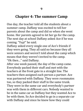### **Chapter 4: The summer Camp**

One day, the teacher told all the students about a summer camp. Daffany was excited to tell her parents about the camp and did so when she went home. Her parents agreed to let her go for the camp. The next day at school Daffany asked Ace if he was coming. "Yup!" he said.

Daffany asked every single one of Ace's friends if they were going. They all said no because they all were seniors and weren't told about the camp which means that they weren't invited to the camp. "Ok then…" said Daffany.

After one week passed, the day of the camp came. Everybody packed their stuff and met with the teachers at the front gate in a straight line. The teachers then assigned each person a partner. Ace was partnered with Daffany. They were roommates too, so they packed their stuff in the same trunk. They were in the same car and everybody's partner was with them in different cars. Nobody wanted to be in the same car as Daffany but they wanted Ace to be with them. So Ace decided to go in a separate car with Daffany and since he knew how they could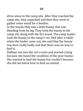drive alone to the camp site. After they reached the camp site, they unpacked and then they went to gather some wood for a bonfire.

In the woods they saw a little bunny that was bleeding from its leg. They took the bunny to the camp site along with the fire wood. The camp leader took the bunny to the camp's vet. And after a while when the leader came out, she said that the bunny was hurt really badly and that there was no way to heal it.

Daffany ran into the vet's room and started crying because she hated the condition of the poor bunny. She wanted to heal the bunny but couldn't because she did not know how to heal an animal.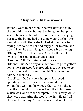### **Chapter 5: In the woods**

Daffany went to her room. She was devastated by the condition of the bunny. She imagined her pain when she was in her old school. She started crying because the bunny had the same wound as her. Her wound was still there she looked at it and started crying. Ace came to her and hugged her to calm her down. Then he saw a long and deep slit on her leg. "Oh my! Who did this to you?! I will kill them I swear!!!" he said in anger and shock.

"N-nobody" Daffany stuttered in tears.

"Ok fine" said Ace. "Anyways we have to go to gather some more firewood, everybody is too scared to go to the woods at this time of night. So you wanna come?" asked Ace.

"Sure!" said Daffany very happily. She loved spending time with Ace so she wanted to go. When they went in the woods, they saw a light at first they thought that it was from the lighthouse which was far from the campsite. Then slowly while they were gathering the wood, the light floated all the way to Daffany. Ace was concerned and forbid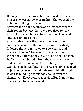Daffany from touching it, but Daffany didn't hear him as she was far away from him. She touched the light but nothing happened.

After gathering all the firewood they both went to their rooms because they were too tired to stay awake for half an hour eating marshmallows and singing campfire songs.

After twelve hours they heard a scream. It was coming from one of the camp rooms. Everybody followed the scream. It led to a very fancy and decorated room. That was the leader's room. When they entered, they saw a floating ball of light. Daffany remembered it from the woods and went and patted the ball of light. Everybody in the camp was shocked by Daffany's bravery. This time, instead of just going away, the ball released a blinding light. It was so blinding, that nobody could even see themselves. Everybody was crying. But Daffany and Ace seemed to be unharmed.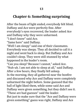## **Chapter 6: Something surprising**

After the beam of light ended, everybody felt blind. Daffany and Ace were perfectly fine. After everybody's eyes recovered, the leader asked Ace and Daffany why they were unharmed.

"I don't know" said Ace.

"Same here" said Daffany.

"Well I am sleepy" said one of their classmates. Everybody was sleepy. They all decided to call it a night and went back to sleep. But Daffany and Ace couldn't sleep. They were still stunned by what happened in the leader's room.

"Can you sleep? Because I cannot," asked Ace. "Nuh-uh. I am not able to sleep at all," said Daffany. After a few hours, they finally fell asleep.

In the morning, they all gathered near the bonfire and discussed why Ace and Daffany were completely unharmed the night before. Some guessed that the ball of light liked them, while some said Ace and Daffany were given something, but they didn't see it. "These are bad guesses" said the leader.

But just to make sure that the "Ace and Daffany were given something" guess was right, Daffany and Ace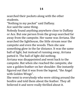searched their pockets along with the other students.

"Nothing in my pocket" said Daffany.

Ace said the same thing.

Nobody found anything anywhere close to Daffany or Ace. But one person from the group searched far away from the campsite. Her name was Arriana. She searched the lighthouse, the little stream near the campsite and even the woods. Then she saw something glow in the far distance. It was the same ball of light, but instead of running away, Arriana patted it. The ball of light did nothing.

Arriana was disappointed and went back to the campsite. But when she reached the campsite, she saw a golden feather on her shoulder. She instantly figured out that it was from the legend, "the Angel with Golden Wings".

She went to everybody who were sitting around the bonfire and told them about the feather. They all believed it and were really thrilled about it.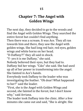## **Chapter 7: The Angel with Golden Wings**

The next day, they decided to go to the woods and find the Angel with Golden Wings. They searched the entire forest but couldn't find anything. Then there was a scream. It was Ace. They all ran towards him and there, they saw the Angel with golden wings. She had long red hair, red eyes, golden wings and white horns on her head. "D-Daffany?!" they all said in shock. "Y- yes it is me Daffany," she said. Nobody believed their eyes, but they had to. Daffany hid her wings. "Cião" she said. She had used up all of her power in transforming into the angel. She fainted in Ace's hands. Everybody took Daffany to the leader who was

investigating the feather. "Oh dear! What happened to her?" said the leader.

"First, she is the Angel with Golden Wings and second, she fainted in the forest, but I don't know why," said Arriana.

The leader took Daffany into the clinic. After a few minutes she came out and said, "She is alright. She